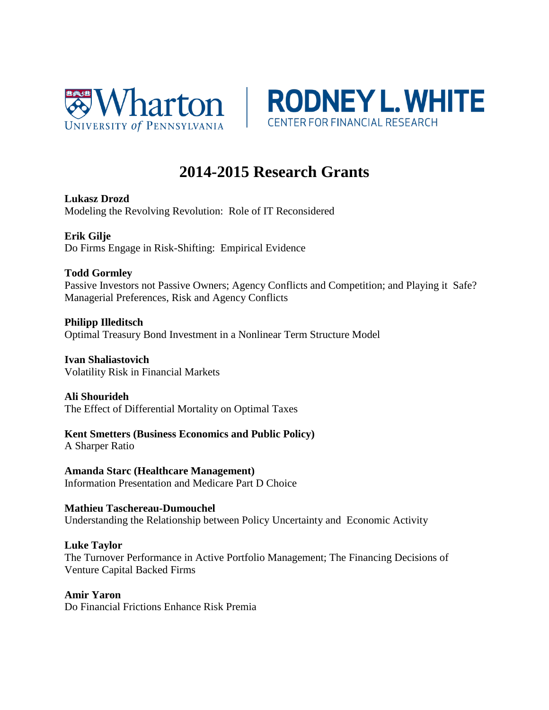



# **2014-2015 Research Grants**

**Lukasz Drozd** Modeling the Revolving Revolution: Role of IT Reconsidered

**Erik Gilje** Do Firms Engage in Risk-Shifting: Empirical Evidence

# **Todd Gormley**

Passive Investors not Passive Owners; Agency Conflicts and Competition; and Playing it Safe? Managerial Preferences, Risk and Agency Conflicts

**Philipp Illeditsch** Optimal Treasury Bond Investment in a Nonlinear Term Structure Model

**Ivan Shaliastovich** Volatility Risk in Financial Markets

# **Ali Shourideh**

The Effect of Differential Mortality on Optimal Taxes

**Kent Smetters (Business Economics and Public Policy)** A Sharper Ratio

**Amanda Starc (Healthcare Management)** Information Presentation and Medicare Part D Choice

**Mathieu Taschereau-Dumouchel** Understanding the Relationship between Policy Uncertainty and Economic Activity

#### **Luke Taylor**

The Turnover Performance in Active Portfolio Management; The Financing Decisions of Venture Capital Backed Firms

**Amir Yaron**

Do Financial Frictions Enhance Risk Premia